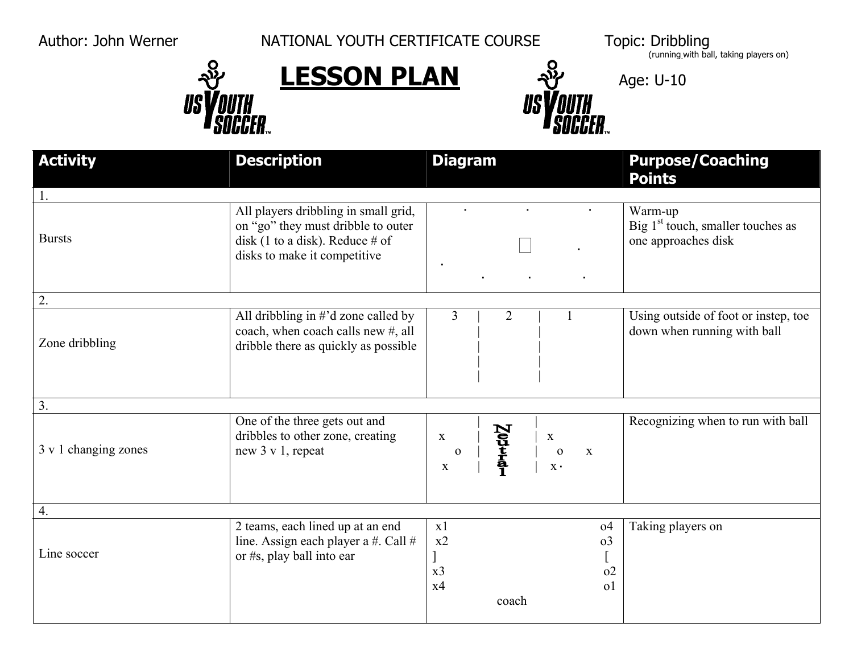US

Author: John Werner NATIONAL YOUTH CERTIFICATE COURSE





coach

 Topic: Dribbling (running with ball, taking players on)

| <b>Activity</b>      | <b>Description</b>                                                                                                                               | <b>Diagram</b>                                                                                                                             | <b>Purpose/Coaching</b><br><b>Points</b>                              |
|----------------------|--------------------------------------------------------------------------------------------------------------------------------------------------|--------------------------------------------------------------------------------------------------------------------------------------------|-----------------------------------------------------------------------|
|                      |                                                                                                                                                  |                                                                                                                                            |                                                                       |
| <b>Bursts</b>        | All players dribbling in small grid,<br>on "go" they must dribble to outer<br>disk (1 to a disk). Reduce $\#$ of<br>disks to make it competitive |                                                                                                                                            | Warm-up<br>Big $1st$ touch, smaller touches as<br>one approaches disk |
| 2.                   |                                                                                                                                                  |                                                                                                                                            |                                                                       |
| Zone dribbling       | All dribbling in $\#$ 'd zone called by<br>coach, when coach calls new #, all<br>dribble there as quickly as possible                            | $\overline{3}$<br>$\overline{2}$                                                                                                           | Using outside of foot or instep, toe<br>down when running with ball   |
| 3.                   |                                                                                                                                                  |                                                                                                                                            |                                                                       |
| 3 v 1 changing zones | One of the three gets out and<br>dribbles to other zone, creating<br>new 3 v 1, repeat                                                           | $\sum_{\substack{t \text{all}}}$<br>$\mathbf X$<br>$\mathbf X$<br>${\bf O}$<br>$\mathbf 0$<br>$\mathbf{X}$<br>$\mathbf X$ .<br>$\mathbf X$ | Recognizing when to run with ball                                     |
| 4.                   |                                                                                                                                                  |                                                                                                                                            |                                                                       |
| Line soccer          | 2 teams, each lined up at an end<br>line. Assign each player a #. Call $#$<br>or #s, play ball into ear                                          | x1<br>0 <sup>4</sup><br>x2<br>$\Omega$<br>x <sub>3</sub><br>0 <sup>2</sup><br>0 <sup>1</sup><br>x4                                         | Taking players on                                                     |